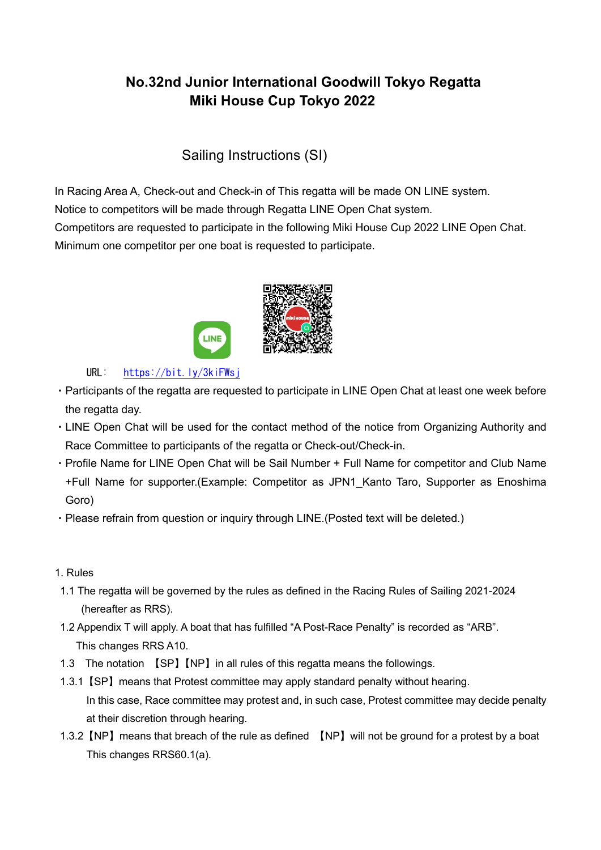# **No.32nd Junior International Goodwill Tokyo Regatta Miki House Cup Tokyo 2022**

Sailing Instructions (SI)

In Racing Area A, Check-out and Check-in of This regatta will be made ON LINE system. Notice to competitors will be made through Regatta LINE Open Chat system. Competitors are requested to participate in the following Miki House Cup 2022 LINE Open Chat. Minimum one competitor per one boat is requested to participate.



URL: <https://bit.ly/3kiFWsj>

- ・Participants of the regatta are requested to participate in LINE Open Chat at least one week before the regatta day.
- ・LINE Open Chat will be used for the contact method of the notice from Organizing Authority and Race Committee to participants of the regatta or Check-out/Check-in.
- ・Profile Name for LINE Open Chat will be Sail Number + Full Name for competitor and Club Name +Full Name for supporter.(Example: Competitor as JPN1\_Kanto Taro, Supporter as Enoshima Goro)
- ・Please refrain from question or inquiry through LINE.(Posted text will be deleted.)
- 1. Rules
- 1.1 The regatta will be governed by the rules as defined in the Racing Rules of Sailing 2021-2024 (hereafter as RRS).
- 1.2 Appendix T will apply. A boat that has fulfilled "A Post-Race Penalty" is recorded as "ARB". This changes RRS A10.
- 1.3 The notation 【SP】【NP】in all rules of this regatta means the followings.
- 1.3.1【SP】means that Protest committee may apply standard penalty without hearing. In this case, Race committee may protest and, in such case, Protest committee may decide penalty at their discretion through hearing.
- 1.3.2【NP】means that breach of the rule as defined 【NP】will not be ground for a protest by a boat This changes RRS60.1(a).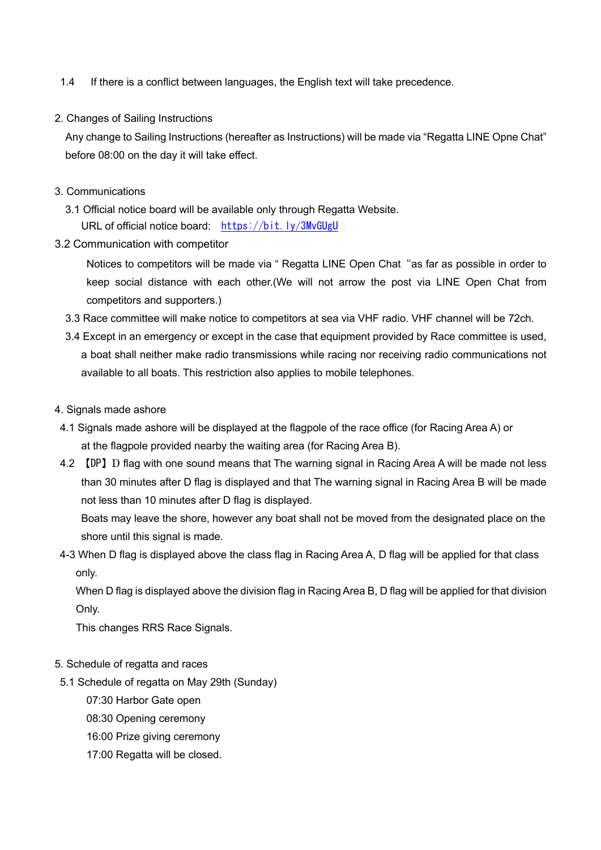- 1.4 If there is a conflict between languages, the English text will take precedence.
- 2. Changes of Sailing Instructions

Any change to Sailing Instructions (hereafter as Instructions) will be made via "Regatta LINE Opne Chat" before 08:00 on the day it will take effect.

- 3. Communications
	- 3.1 Official notice board will be available only through Regatta Website. URL of official notice board: <https://bit.ly/3MvGUgU>
- 3.2 Communication with competitor

Notices to competitors will be made via " Regatta LINE Open Chat "as far as possible in order to keep social distance with each other.(We will not arrow the post via LINE Open Chat from competitors and supporters.)

- 3.3 Race committee will make notice to competitors at sea via VHF radio. VHF channel will be 72ch.
- 3.4 Except in an emergency or except in the case that equipment provided by Race committee is used, a boat shall neither make radio transmissions while racing nor receiving radio communications not available to all boats. This restriction also applies to mobile telephones.
- 4. Signals made ashore
- 4.1 Signals made ashore will be displayed at the flagpole of the race office (for Racing Area A) or at the flagpole provided nearby the waiting area (for Racing Area B).
- 4.2 【DP】D flag with one sound means that The warning signal in Racing Area A will be made not less than 30 minutes after D flag is displayed and that The warning signal in Racing Area B will be made not less than 10 minutes after D flag is displayed.

Boats may leave the shore, however any boat shall not be moved from the designated place on the shore until this signal is made.

4-3 When D flag is displayed above the class flag in Racing Area A, D flag will be applied for that class only.

 When D flag is displayed above the division flag in Racing Area B, D flag will be applied for that division Only.

This changes RRS Race Signals.

- 5. Schedule of regatta and races
- 5.1 Schedule of regatta on May 29th (Sunday)
	- 07:30 Harbor Gate open
	- 08:30 Opening ceremony
	- 16:00 Prize giving ceremony
	- 17:00 Regatta will be closed.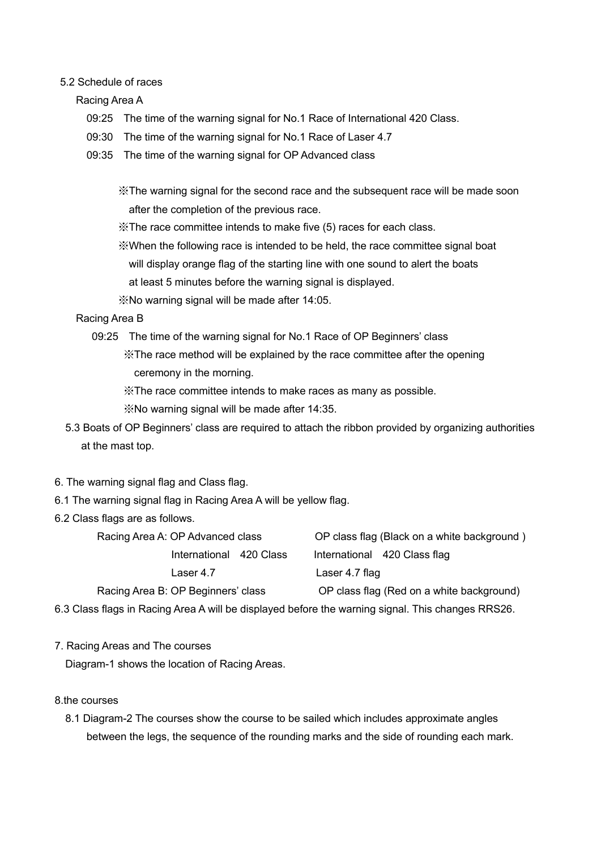#### 5.2 Schedule of races

Racing Area A

- 09:25 The time of the warning signal for No.1 Race of International 420 Class.
- 09:30 The time of the warning signal for No.1 Race of Laser 4.7
- 09:35 The time of the warning signal for OP Advanced class

 ※The warning signal for the second race and the subsequent race will be made soon after the completion of the previous race.

- ※The race committee intends to make five (5) races for each class.
- ※When the following race is intended to be held, the race committee signal boat
	- will display orange flag of the starting line with one sound to alert the boats
	- at least 5 minutes before the warning signal is displayed.
- ※No warning signal will be made after 14:05.
- Racing Area B
	- 09:25 The time of the warning signal for No.1 Race of OP Beginners' class

 ※The race method will be explained by the race committee after the opening ceremony in the morning.

※The race committee intends to make races as many as possible.

※No warning signal will be made after 14:35.

- 5.3 Boats of OP Beginners' class are required to attach the ribbon provided by organizing authorities at the mast top.
- 6. The warning signal flag and Class flag.
- 6.1 The warning signal flag in Racing Area A will be yellow flag.
- 6.2 Class flags are as follows.

| Racing Area A: OP Advanced class                                                                  | OP class flag (Black on a white background) |  |
|---------------------------------------------------------------------------------------------------|---------------------------------------------|--|
| International 420 Class                                                                           | International 420 Class flag                |  |
| Laser 4.7                                                                                         | Laser 4.7 flag                              |  |
| Racing Area B: OP Beginners' class                                                                | OP class flag (Red on a white background)   |  |
| 6.3 Class flags in Racing Area A will be displayed before the warning signal. This changes RRS26. |                                             |  |

7. Racing Areas and The courses

Diagram-1 shows the location of Racing Areas.

#### 8.the courses

 8.1 Diagram-2 The courses show the course to be sailed which includes approximate angles between the legs, the sequence of the rounding marks and the side of rounding each mark.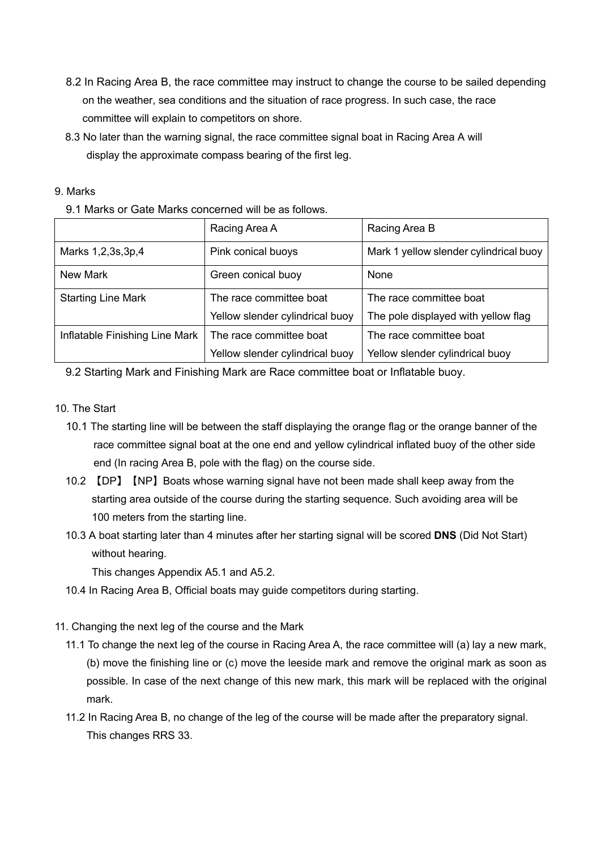- 8.2 In Racing Area B, the race committee may instruct to change the course to be sailed depending on the weather, sea conditions and the situation of race progress. In such case, the race committee will explain to competitors on shore.
- 8.3 No later than the warning signal, the race committee signal boat in Racing Area A will display the approximate compass bearing of the first leg.

| 9. Marks |
|----------|
|          |

9.1 Marks or Gate Marks concerned will be as follows.

|                                | Racing Area A                   | Racing Area B                          |  |
|--------------------------------|---------------------------------|----------------------------------------|--|
| Marks 1,2,3s,3p,4              | Pink conical buoys              | Mark 1 yellow slender cylindrical buoy |  |
| New Mark                       | Green conical buoy              | None                                   |  |
| <b>Starting Line Mark</b>      | The race committee boat         | The race committee boat                |  |
|                                | Yellow slender cylindrical buoy | The pole displayed with yellow flag    |  |
| Inflatable Finishing Line Mark | The race committee boat         | The race committee boat                |  |
|                                | Yellow slender cylindrical buoy | Yellow slender cylindrical buoy        |  |

9.2 Starting Mark and Finishing Mark are Race committee boat or Inflatable buoy.

- 10. The Start
	- 10.1 The starting line will be between the staff displaying the orange flag or the orange banner of the race committee signal boat at the one end and yellow cylindrical inflated buoy of the other side end (In racing Area B, pole with the flag) on the course side.
	- 10.2 【DP】【NP】Boats whose warning signal have not been made shall keep away from the starting area outside of the course during the starting sequence. Such avoiding area will be 100 meters from the starting line.
	- 10.3 A boat starting later than 4 minutes after her starting signal will be scored **DNS** (Did Not Start) without hearing.

This changes Appendix A5.1 and A5.2.

- 10.4 In Racing Area B, Official boats may guide competitors during starting.
- 11. Changing the next leg of the course and the Mark
	- 11.1 To change the next leg of the course in Racing Area A, the race committee will (a) lay a new mark, (b) move the finishing line or (c) move the leeside mark and remove the original mark as soon as possible. In case of the next change of this new mark, this mark will be replaced with the original mark.
	- 11.2 In Racing Area B, no change of the leg of the course will be made after the preparatory signal. This changes RRS 33.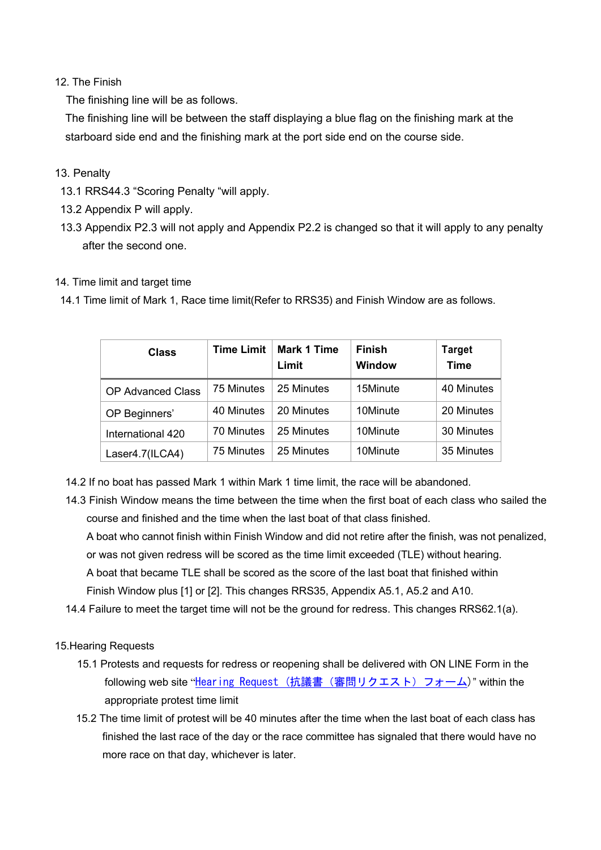## 12. The Finish

The finishing line will be as follows.

The finishing line will be between the staff displaying a blue flag on the finishing mark at the starboard side end and the finishing mark at the port side end on the course side.

## 13. Penalty

- 13.1 RRS44.3 "Scoring Penalty "will apply.
- 13.2 Appendix P will apply.
- 13.3 Appendix P2.3 will not apply and Appendix P2.2 is changed so that it will apply to any penalty after the second one.

## 14. Time limit and target time

14.1 Time limit of Mark 1, Race time limit(Refer to RRS35) and Finish Window are as follows.

| <b>Class</b>             | <b>Time Limit</b> | <b>Mark 1 Time</b><br>Limit | <b>Finish</b><br><b>Window</b> | Target<br><b>Time</b> |
|--------------------------|-------------------|-----------------------------|--------------------------------|-----------------------|
| <b>OP Advanced Class</b> | 75 Minutes        | 25 Minutes                  | 15Minute                       | 40 Minutes            |
| OP Beginners'            | 40 Minutes        | 20 Minutes                  | 10Minute                       | 20 Minutes            |
| International 420        | 70 Minutes        | 25 Minutes                  | 10Minute                       | 30 Minutes            |
| Laser4.7(ILCA4)          | 75 Minutes        | 25 Minutes                  | 10Minute                       | 35 Minutes            |

- 14.2 If no boat has passed Mark 1 within Mark 1 time limit, the race will be abandoned.
- 14.3 Finish Window means the time between the time when the first boat of each class who sailed the course and finished and the time when the last boat of that class finished.

 A boat who cannot finish within Finish Window and did not retire after the finish, was not penalized, or was not given redress will be scored as the time limit exceeded (TLE) without hearing. A boat that became TLE shall be scored as the score of the last boat that finished within Finish Window plus [1] or [2]. This changes RRS35, Appendix A5.1, A5.2 and A10.

14.4 Failure to meet the target time will not be the ground for redress. This changes RRS62.1(a).

### 15.Hearing Requests

- 15.1 Protests and requests for redress or reopening shall be delivered with ON LINE Form in the following web site "Hear ing Request (抗議書 (審問リクエスト) フォーム)" within the appropriate protest time limit
- 15.2 The time limit of protest will be 40 minutes after the time when the last boat of each class has finished the last race of the day or the race committee has signaled that there would have no more race on that day, whichever is later.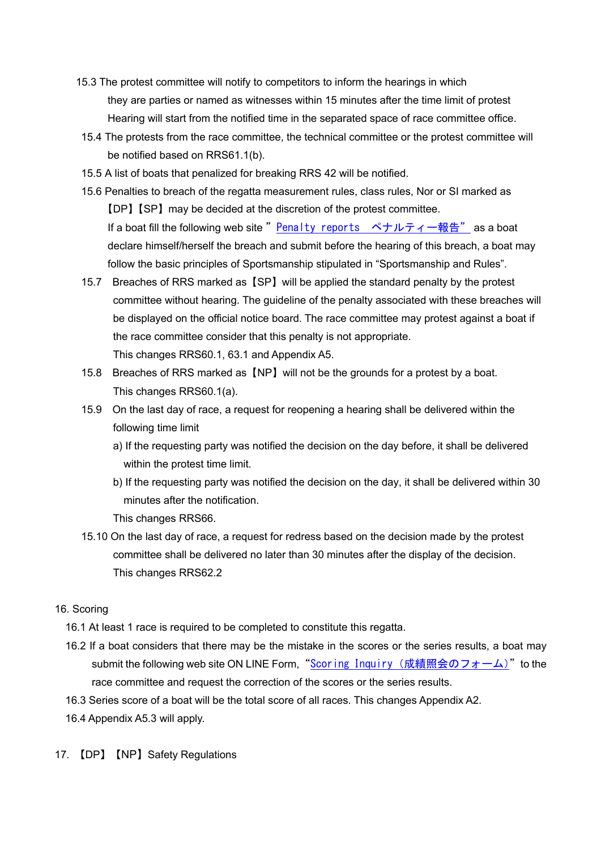- 15.3 The protest committee will notify to competitors to inform the hearings in which they are parties or named as witnesses within 15 minutes after the time limit of protest Hearing will start from the notified time in the separated space of race committee office.
- 15.4 The protests from the race committee, the technical committee or the protest committee will be notified based on RRS61.1(b).
- 15.5 A list of boats that penalized for breaking RRS 42 will be notified.
- 15.6 Penalties to breach of the regatta measurement rules, class rules, Nor or SI marked as 【DP】【SP】may be decided at the discretion of the protest committee. If a boat fill the following web site " Penalty reports ペナルティー報告" as a boat declare himself/herself the breach and submit before the hearing of this breach, a boat may follow the basic principles of Sportsmanship stipulated in "Sportsmanship and Rules".
- 15.7 Breaches of RRS marked as【SP】will be applied the standard penalty by the protest committee without hearing. The guideline of the penalty associated with these breaches will be displayed on the official notice board. The race committee may protest against a boat if the race committee consider that this penalty is not appropriate. This changes RRS60.1, 63.1 and Appendix A5.
- 15.8 Breaches of RRS marked as【NP】will not be the grounds for a protest by a boat. This changes RRS60.1(a).
- 15.9 On the last day of race, a request for reopening a hearing shall be delivered within the following time limit
	- a) If the requesting party was notified the decision on the day before, it shall be delivered within the protest time limit.
	- b) If the requesting party was notified the decision on the day, it shall be delivered within 30 minutes after the notification.
	- This changes RRS66.
- 15.10 On the last day of race, a request for redress based on the decision made by the protest committee shall be delivered no later than 30 minutes after the display of the decision. This changes RRS62.2

### 16. Scoring

- 16.1 At least 1 race is required to be completed to constitute this regatta.
- 16.2 If a boat considers that there may be the mistake in the scores or the series results, a boat may submit the following web site ON LINE Form, "Scoring Inquiry (成績照会のフォーム)" to the race committee and request the correction of the scores or the series results.
- 16.3 Series score of a boat will be the total score of all races. This changes Appendix A2.
- 16.4 Appendix A5.3 will apply.
- 17. 【DP】【NP】Safety Regulations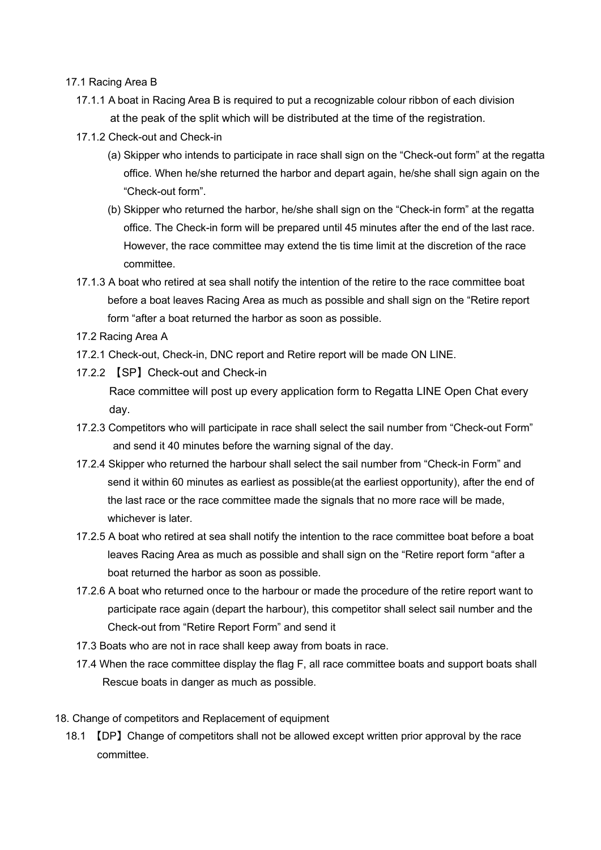#### 17.1 Racing Area B

- 17.1.1 A boat in Racing Area B is required to put a recognizable colour ribbon of each division at the peak of the split which will be distributed at the time of the registration.
- 17.1.2 Check-out and Check-in
	- (a) Skipper who intends to participate in race shall sign on the "Check-out form" at the regatta office. When he/she returned the harbor and depart again, he/she shall sign again on the "Check-out form".
	- (b) Skipper who returned the harbor, he/she shall sign on the "Check-in form" at the regatta office. The Check-in form will be prepared until 45 minutes after the end of the last race. However, the race committee may extend the tis time limit at the discretion of the race committee.
- 17.1.3 A boat who retired at sea shall notify the intention of the retire to the race committee boat before a boat leaves Racing Area as much as possible and shall sign on the "Retire report form "after a boat returned the harbor as soon as possible.
- 17.2 Racing Area A
- 17.2.1 Check-out, Check-in, DNC report and Retire report will be made ON LINE.
- 17.2.2 【SP】Check-out and Check-in Race committee will post up every application form to Regatta LINE Open Chat every day.
- 17.2.3 Competitors who will participate in race shall select the sail number from "Check-out Form" and send it 40 minutes before the warning signal of the day.
- 17.2.4 Skipper who returned the harbour shall select the sail number from "Check-in Form" and send it within 60 minutes as earliest as possible(at the earliest opportunity), after the end of the last race or the race committee made the signals that no more race will be made, whichever is later.
- 17.2.5 A boat who retired at sea shall notify the intention to the race committee boat before a boat leaves Racing Area as much as possible and shall sign on the "Retire report form "after a boat returned the harbor as soon as possible.
- 17.2.6 A boat who returned once to the harbour or made the procedure of the retire report want to participate race again (depart the harbour), this competitor shall select sail number and the Check-out from "Retire Report Form" and send it
- 17.3 Boats who are not in race shall keep away from boats in race.
- 17.4 When the race committee display the flag F, all race committee boats and support boats shall Rescue boats in danger as much as possible.
- 18. Change of competitors and Replacement of equipment
	- 18.1 【DP】Change of competitors shall not be allowed except written prior approval by the race committee.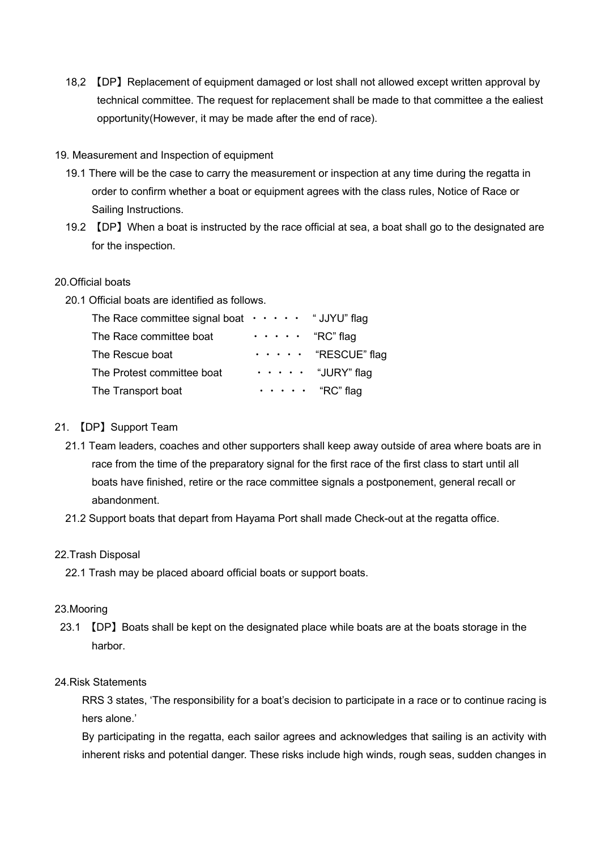18,2 【DP】Replacement of equipment damaged or lost shall not allowed except written approval by technical committee. The request for replacement shall be made to that committee a the ealiest opportunity(However, it may be made after the end of race).

#### 19. Measurement and Inspection of equipment

- 19.1 There will be the case to carry the measurement or inspection at any time during the regatta in order to confirm whether a boat or equipment agrees with the class rules, Notice of Race or Sailing Instructions.
- 19.2 【DP】When a boat is instructed by the race official at sea, a boat shall go to the designated are for the inspection.

## 20.Official boats

20.1 Official boats are identified as follows.

| The Race committee signal boat $\cdots$ $\cdots$ "JJYU" flag |                             |                                 |
|--------------------------------------------------------------|-----------------------------|---------------------------------|
| The Race committee boat                                      | $\cdots$ $\cdots$ "RC" flag |                                 |
| The Rescue boat                                              |                             | $\cdots$ $\cdots$ "RESCUE" flag |
| The Protest committee boat                                   |                             | $\cdots$ $\cdots$ "JURY" flag   |
| The Transport boat                                           |                             | $\cdots$ $\cdots$ "RC" flag     |

#### 21. 【DP】Support Team

- 21.1 Team leaders, coaches and other supporters shall keep away outside of area where boats are in race from the time of the preparatory signal for the first race of the first class to start until all boats have finished, retire or the race committee signals a postponement, general recall or abandonment.
- 21.2 Support boats that depart from Hayama Port shall made Check-out at the regatta office.

#### 22.Trash Disposal

22.1 Trash may be placed aboard official boats or support boats.

#### 23.Mooring

23.1 【DP】Boats shall be kept on the designated place while boats are at the boats storage in the harbor.

#### 24.Risk Statements

 RRS 3 states, 'The responsibility for a boat's decision to participate in a race or to continue racing is hers alone.'

 By participating in the regatta, each sailor agrees and acknowledges that sailing is an activity with inherent risks and potential danger. These risks include high winds, rough seas, sudden changes in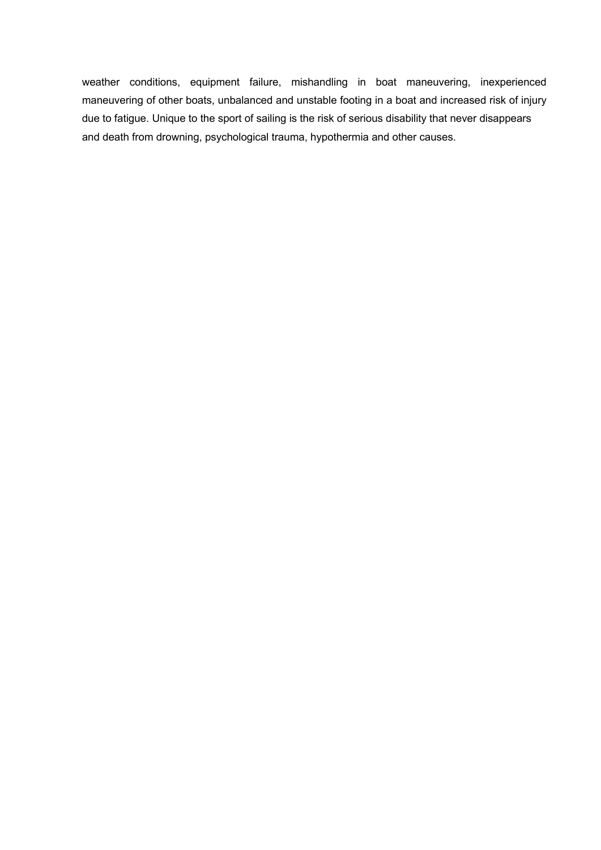weather conditions, equipment failure, mishandling in boat maneuvering, inexperienced maneuvering of other boats, unbalanced and unstable footing in a boat and increased risk of injury due to fatigue. Unique to the sport of sailing is the risk of serious disability that never disappears and death from drowning, psychological trauma, hypothermia and other causes.